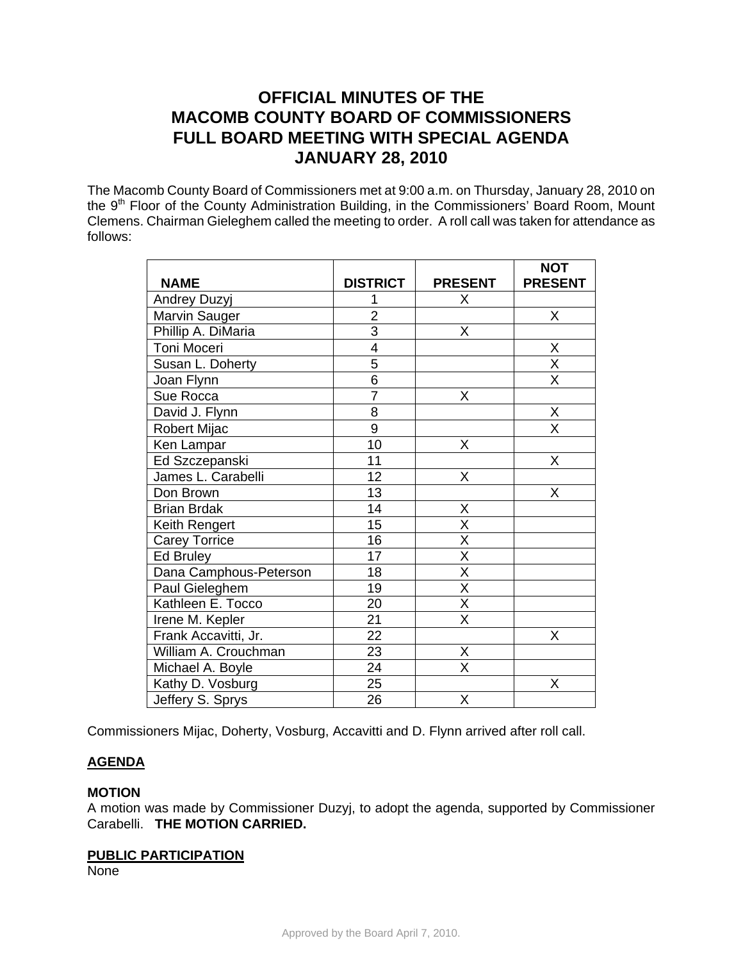# **OFFICIAL MINUTES OF THE MACOMB COUNTY BOARD OF COMMISSIONERS FULL BOARD MEETING WITH SPECIAL AGENDA JANUARY 28, 2010**

The Macomb County Board of Commissioners met at 9:00 a.m. on Thursday, January 28, 2010 on the 9<sup>th</sup> Floor of the County Administration Building, in the Commissioners' Board Room, Mount Clemens. Chairman Gieleghem called the meeting to order. A roll call was taken for attendance as follows:

|                        |                 |                         | <b>NOT</b>                          |
|------------------------|-----------------|-------------------------|-------------------------------------|
| <b>NAME</b>            | <b>DISTRICT</b> | <b>PRESENT</b>          | <b>PRESENT</b>                      |
| <b>Andrey Duzyj</b>    |                 | X                       |                                     |
| Marvin Sauger          | $\overline{2}$  |                         | X                                   |
| Phillip A. DiMaria     | $\overline{3}$  | Χ                       |                                     |
| Toni Moceri            | 4               |                         | X                                   |
| Susan L. Doherty       | $\overline{5}$  |                         | $\frac{\overline{X}}{\overline{X}}$ |
| Joan Flynn             | $\overline{6}$  |                         |                                     |
| Sue Rocca              | $\overline{7}$  | X                       |                                     |
| David J. Flynn         | $\overline{8}$  |                         | X                                   |
| Robert Mijac           | $\overline{9}$  |                         | $\overline{\mathsf{x}}$             |
| Ken Lampar             | 10              | X                       |                                     |
| Ed Szczepanski         | 11              |                         | X                                   |
| James L. Carabelli     | 12              | Χ                       |                                     |
| Don Brown              | 13              |                         | X                                   |
| <b>Brian Brdak</b>     | 14              | Χ                       |                                     |
| Keith Rengert          | 15              | $\overline{\mathsf{x}}$ |                                     |
| <b>Carey Torrice</b>   | 16              | $\overline{\mathsf{x}}$ |                                     |
| <b>Ed Bruley</b>       | 17              | $\overline{\mathsf{x}}$ |                                     |
| Dana Camphous-Peterson | 18              | $\overline{\mathsf{X}}$ |                                     |
| Paul Gieleghem         | 19              | $\overline{\mathsf{x}}$ |                                     |
| Kathleen E. Tocco      | 20              | $\overline{\mathsf{X}}$ |                                     |
| Irene M. Kepler        | $\overline{21}$ | $\overline{\mathsf{x}}$ |                                     |
| Frank Accavitti, Jr.   | 22              |                         | X                                   |
| William A. Crouchman   | 23              | $\frac{X}{X}$           |                                     |
| Michael A. Boyle       | $\overline{24}$ |                         |                                     |
| Kathy D. Vosburg       | 25              |                         | X                                   |
| Jeffery S. Sprys       | 26              | X                       |                                     |

Commissioners Mijac, Doherty, Vosburg, Accavitti and D. Flynn arrived after roll call.

# **AGENDA**

# **MOTION**

A motion was made by Commissioner Duzyj, to adopt the agenda, supported by Commissioner Carabelli. **THE MOTION CARRIED.** 

#### **PUBLIC PARTICIPATION**

None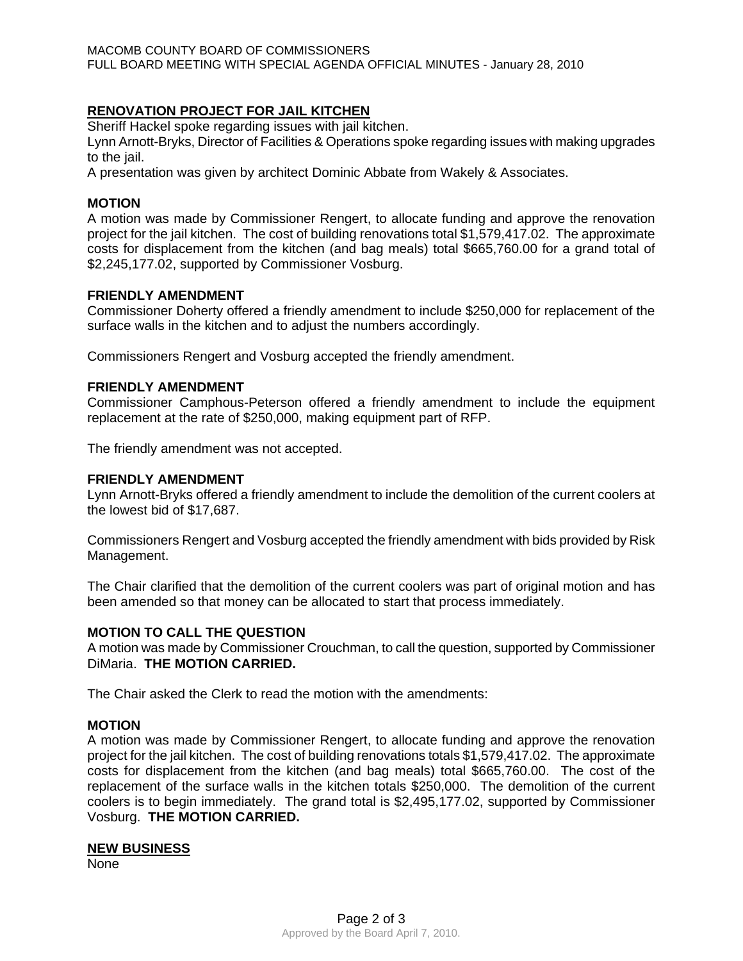# **RENOVATION PROJECT FOR JAIL KITCHEN**

Sheriff Hackel spoke regarding issues with jail kitchen.

Lynn Arnott-Bryks, Director of Facilities & Operations spoke regarding issues with making upgrades to the jail.

A presentation was given by architect Dominic Abbate from Wakely & Associates.

## **MOTION**

A motion was made by Commissioner Rengert, to allocate funding and approve the renovation project for the jail kitchen. The cost of building renovations total \$1,579,417.02. The approximate costs for displacement from the kitchen (and bag meals) total \$665,760.00 for a grand total of \$2,245,177.02, supported by Commissioner Vosburg.

# **FRIENDLY AMENDMENT**

Commissioner Doherty offered a friendly amendment to include \$250,000 for replacement of the surface walls in the kitchen and to adjust the numbers accordingly.

Commissioners Rengert and Vosburg accepted the friendly amendment.

## **FRIENDLY AMENDMENT**

Commissioner Camphous-Peterson offered a friendly amendment to include the equipment replacement at the rate of \$250,000, making equipment part of RFP.

The friendly amendment was not accepted.

## **FRIENDLY AMENDMENT**

Lynn Arnott-Bryks offered a friendly amendment to include the demolition of the current coolers at the lowest bid of \$17,687.

Commissioners Rengert and Vosburg accepted the friendly amendment with bids provided by Risk Management.

The Chair clarified that the demolition of the current coolers was part of original motion and has been amended so that money can be allocated to start that process immediately.

#### **MOTION TO CALL THE QUESTION**

A motion was made by Commissioner Crouchman, to call the question, supported by Commissioner DiMaria. **THE MOTION CARRIED.**

The Chair asked the Clerk to read the motion with the amendments:

#### **MOTION**

A motion was made by Commissioner Rengert, to allocate funding and approve the renovation project for the jail kitchen. The cost of building renovations totals \$1,579,417.02. The approximate costs for displacement from the kitchen (and bag meals) total \$665,760.00. The cost of the replacement of the surface walls in the kitchen totals \$250,000. The demolition of the current coolers is to begin immediately. The grand total is \$2,495,177.02, supported by Commissioner Vosburg. **THE MOTION CARRIED.**

#### **NEW BUSINESS**

None